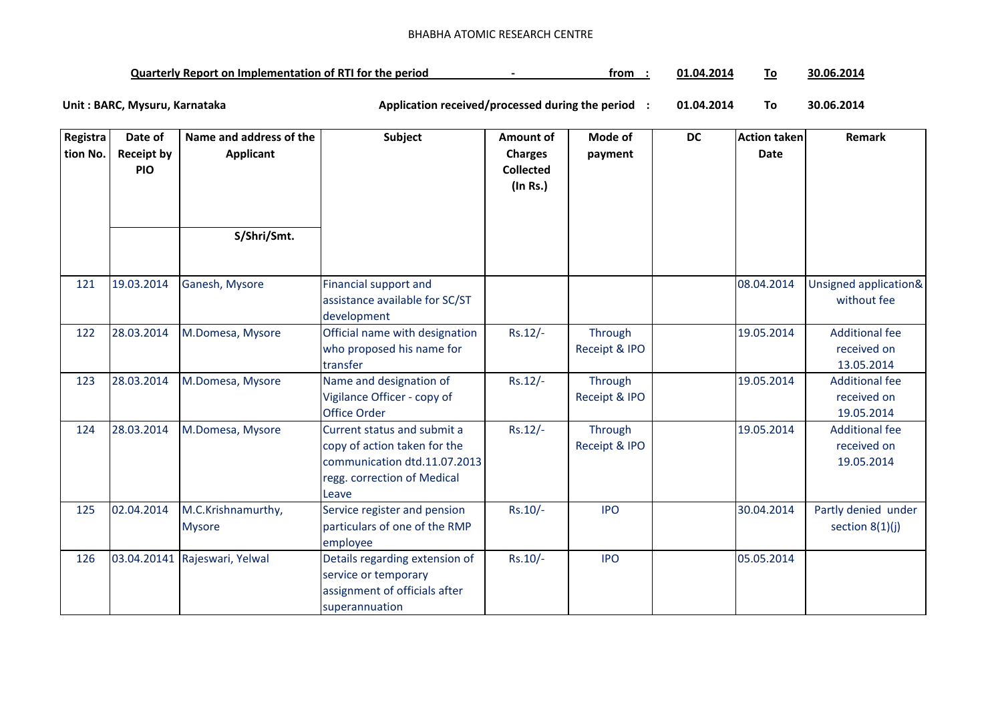| <b>Quarterly Report on Implementation of RTI for the period</b> |  | trom | $+201'$<br>_ 1.04 ົ |  | 30.06.2014 |
|-----------------------------------------------------------------|--|------|---------------------|--|------------|
|-----------------------------------------------------------------|--|------|---------------------|--|------------|

| Registra<br>tion No. | Date of<br><b>Receipt by</b> | Name and address of the<br><b>Applicant</b> | Subject                                                                                                                             | <b>Amount of</b><br><b>Charges</b> | Mode of<br>payment       | <b>DC</b> | <b>Action taken</b><br><b>Date</b> | Remark                                             |
|----------------------|------------------------------|---------------------------------------------|-------------------------------------------------------------------------------------------------------------------------------------|------------------------------------|--------------------------|-----------|------------------------------------|----------------------------------------------------|
|                      | <b>PIO</b>                   |                                             |                                                                                                                                     | <b>Collected</b><br>(In Rs.)       |                          |           |                                    |                                                    |
|                      |                              |                                             |                                                                                                                                     |                                    |                          |           |                                    |                                                    |
|                      |                              | S/Shri/Smt.                                 |                                                                                                                                     |                                    |                          |           |                                    |                                                    |
| 121                  | 19.03.2014                   | Ganesh, Mysore                              | <b>Financial support and</b><br>assistance available for SC/ST<br>development                                                       |                                    |                          |           | 08.04.2014                         | Unsigned application&<br>without fee               |
| 122                  | 28.03.2014                   | M.Domesa, Mysore                            | Official name with designation<br>who proposed his name for<br>transfer                                                             | $Rs.12/-$                          | Through<br>Receipt & IPO |           | 19.05.2014                         | <b>Additional fee</b><br>received on<br>13.05.2014 |
| 123                  | 28.03.2014                   | M.Domesa, Mysore                            | Name and designation of<br>Vigilance Officer - copy of<br><b>Office Order</b>                                                       | $Rs.12/-$                          | Through<br>Receipt & IPO |           | 19.05.2014                         | <b>Additional fee</b><br>received on<br>19.05.2014 |
| 124                  | 28.03.2014                   | M.Domesa, Mysore                            | Current status and submit a<br>copy of action taken for the<br>communication dtd.11.07.2013<br>regg. correction of Medical<br>Leave | $Rs.12/-$                          | Through<br>Receipt & IPO |           | 19.05.2014                         | <b>Additional fee</b><br>received on<br>19.05.2014 |
| 125                  | 02.04.2014                   | M.C.Krishnamurthy,<br><b>Mysore</b>         | Service register and pension<br>particulars of one of the RMP<br>employee                                                           | $Rs.10/-$                          | <b>IPO</b>               |           | 30.04.2014                         | Partly denied under<br>section $8(1)(j)$           |
| 126                  |                              | 03.04.20141 Rajeswari, Yelwal               | Details regarding extension of<br>service or temporary<br>assignment of officials after<br>superannuation                           | $Rs.10/-$                          | <b>IPO</b>               |           | 05.05.2014                         |                                                    |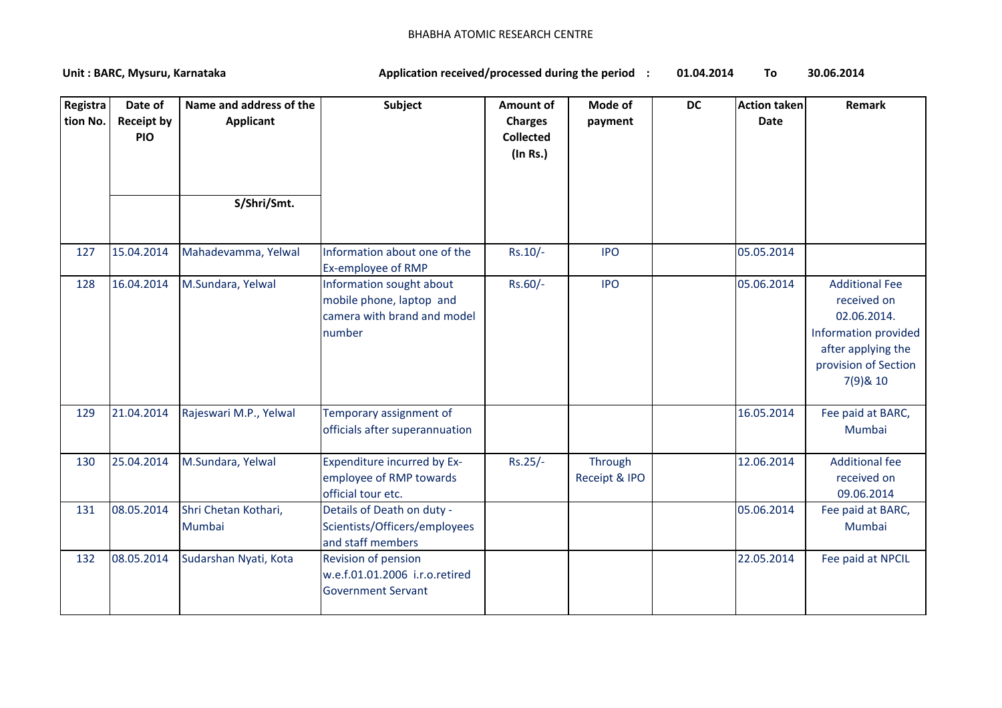| Registra<br>tion No. | Date of<br><b>Receipt by</b><br><b>PIO</b> | Name and address of the<br><b>Applicant</b><br>S/Shri/Smt. | Subject                                                                                       | <b>Amount of</b><br><b>Charges</b><br><b>Collected</b><br>$($ In Rs. $)$ | Mode of<br>payment       | <b>DC</b> | <b>Action taken</b><br><b>Date</b> | Remark                                                                                                                                |
|----------------------|--------------------------------------------|------------------------------------------------------------|-----------------------------------------------------------------------------------------------|--------------------------------------------------------------------------|--------------------------|-----------|------------------------------------|---------------------------------------------------------------------------------------------------------------------------------------|
| 127                  | 15.04.2014                                 | Mahadevamma, Yelwal                                        | Information about one of the<br>Ex-employee of RMP                                            | Rs.10/-                                                                  | <b>IPO</b>               |           | 05.05.2014                         |                                                                                                                                       |
| 128                  | 16.04.2014                                 | M.Sundara, Yelwal                                          | Information sought about<br>mobile phone, laptop and<br>camera with brand and model<br>number | Rs.60/-                                                                  | <b>IPO</b>               |           | 05.06.2014                         | <b>Additional Fee</b><br>received on<br>02.06.2014.<br>Information provided<br>after applying the<br>provision of Section<br>7(9)& 10 |
| 129                  | 21.04.2014                                 | Rajeswari M.P., Yelwal                                     | Temporary assignment of<br>officials after superannuation                                     |                                                                          |                          |           | 16.05.2014                         | Fee paid at BARC,<br>Mumbai                                                                                                           |
| 130                  | 25.04.2014                                 | M.Sundara, Yelwal                                          | <b>Expenditure incurred by Ex-</b><br>employee of RMP towards<br>official tour etc.           | $Rs.25/-$                                                                | Through<br>Receipt & IPO |           | 12.06.2014                         | <b>Additional fee</b><br>received on<br>09.06.2014                                                                                    |
| 131                  | 08.05.2014                                 | Shri Chetan Kothari,<br>Mumbai                             | Details of Death on duty -<br>Scientists/Officers/employees<br>and staff members              |                                                                          |                          |           | 05.06.2014                         | Fee paid at BARC,<br>Mumbai                                                                                                           |
| 132                  | 08.05.2014                                 | Sudarshan Nyati, Kota                                      | Revision of pension<br>w.e.f.01.01.2006 i.r.o.retired<br><b>Government Servant</b>            |                                                                          |                          |           | 22.05.2014                         | Fee paid at NPCIL                                                                                                                     |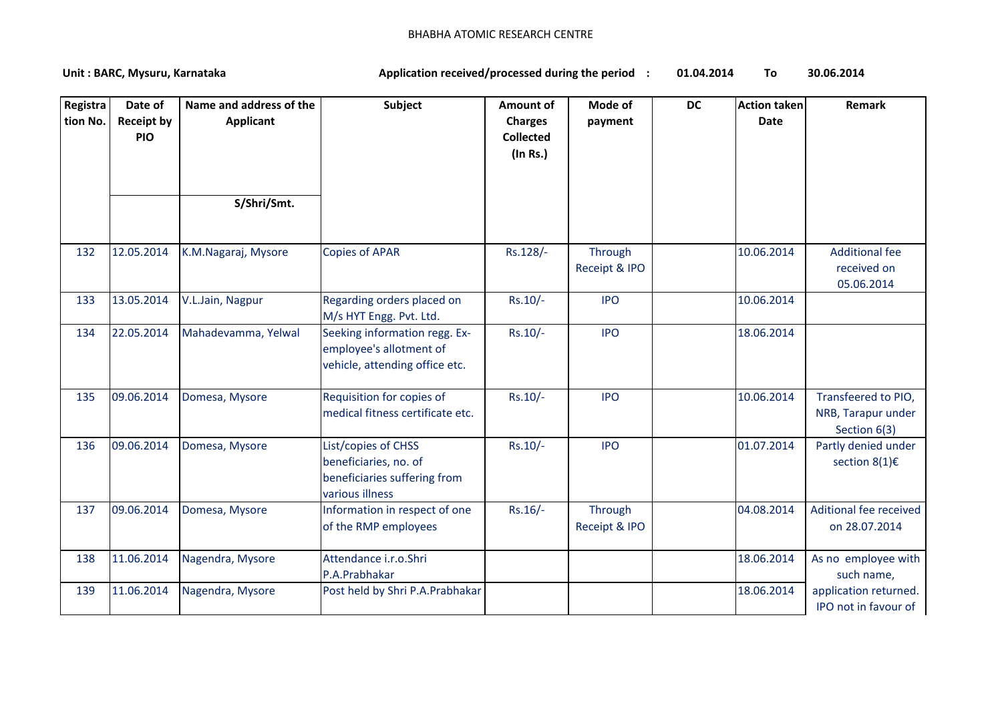| Registra<br>tion No. | Date of<br><b>Receipt by</b><br><b>PIO</b> | Name and address of the<br><b>Applicant</b> | Subject                                                                                         | <b>Amount of</b><br><b>Charges</b><br><b>Collected</b><br>(In Rs.) | Mode of<br>payment       | <b>DC</b> | <b>Action taken</b><br><b>Date</b> | Remark                                                    |
|----------------------|--------------------------------------------|---------------------------------------------|-------------------------------------------------------------------------------------------------|--------------------------------------------------------------------|--------------------------|-----------|------------------------------------|-----------------------------------------------------------|
|                      |                                            | S/Shri/Smt.                                 |                                                                                                 |                                                                    |                          |           |                                    |                                                           |
| 132                  | 12.05.2014                                 | K.M.Nagaraj, Mysore                         | <b>Copies of APAR</b>                                                                           | Rs.128/-                                                           | Through<br>Receipt & IPO |           | 10.06.2014                         | <b>Additional fee</b><br>received on<br>05.06.2014        |
| 133                  | 13.05.2014                                 | V.L.Jain, Nagpur                            | Regarding orders placed on<br>M/s HYT Engg. Pvt. Ltd.                                           | Rs.10/-                                                            | <b>IPO</b>               |           | 10.06.2014                         |                                                           |
| 134                  | 22.05.2014                                 | Mahadevamma, Yelwal                         | Seeking information regg. Ex-<br>employee's allotment of<br>vehicle, attending office etc.      | $Rs.10/-$                                                          | <b>IPO</b>               |           | 18.06.2014                         |                                                           |
| 135                  | 09.06.2014                                 | Domesa, Mysore                              | Requisition for copies of<br>medical fitness certificate etc.                                   | Rs.10/-                                                            | <b>IPO</b>               |           | 10.06.2014                         | Transfeered to PIO,<br>NRB, Tarapur under<br>Section 6(3) |
| 136                  | 09.06.2014                                 | Domesa, Mysore                              | List/copies of CHSS<br>beneficiaries, no. of<br>beneficiaries suffering from<br>various illness | Rs.10/-                                                            | <b>IPO</b>               |           | 01.07.2014                         | Partly denied under<br>section 8(1)€                      |
| 137                  | 09.06.2014                                 | Domesa, Mysore                              | Information in respect of one<br>of the RMP employees                                           | Rs.16/-                                                            | Through<br>Receipt & IPO |           | 04.08.2014                         | Aditional fee received<br>on 28.07.2014                   |
| 138                  | 11.06.2014                                 | Nagendra, Mysore                            | Attendance i.r.o.Shri<br>P.A.Prabhakar                                                          |                                                                    |                          |           | 18.06.2014                         | As no employee with<br>such name,                         |
| 139                  | 11.06.2014                                 | Nagendra, Mysore                            | Post held by Shri P.A.Prabhakar                                                                 |                                                                    |                          |           | 18.06.2014                         | application returned.<br>IPO not in favour of             |